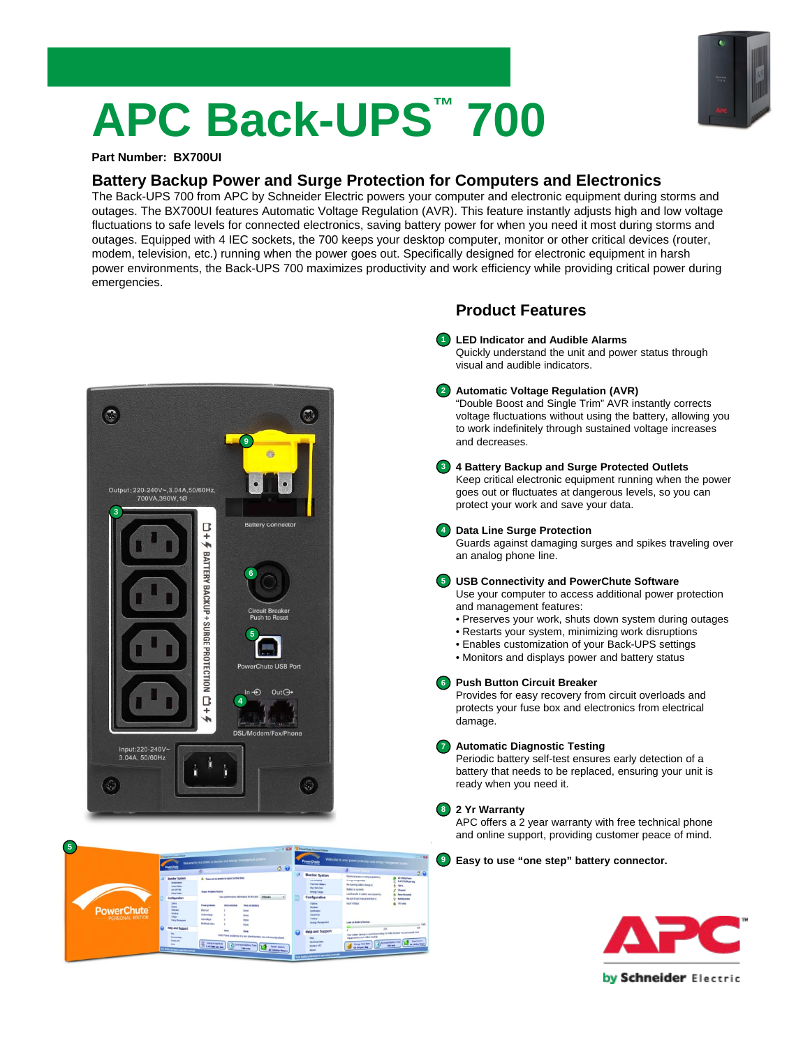# **APC Back-UPS™ 700**

#### **Part Number: BX700UI**

### **Battery Backup Power and Surge Protection for Computers and Electronics**

The Back-UPS 700 from APC by Schneider Electric powers your computer and electronic equipment during storms and outages. The BX700UI features Automatic Voltage Regulation (AVR). This feature instantly adjusts high and low voltage fluctuations to safe levels for connected electronics, saving battery power for when you need it most during storms and outages. Equipped with 4 IEC sockets, the 700 keeps your desktop computer, monitor or other critical devices (router, modem, television, etc.) running when the power goes out. Specifically designed for electronic equipment in harsh power environments, the Back-UPS 700 maximizes productivity and work efficiency while providing critical power during emergencies.





#### **Product Features**

- **LED Indicator and Audible Alarms 1** Quickly understand the unit and power status through visual and audible indicators.
- **Automatic Voltage Regulation (AVR) 2** "Double Boost and Single Trim" AVR instantly corrects voltage fluctuations without using the battery, allowing you to work indefinitely through sustained voltage increases and decreases.
- **4 Battery Backup and Surge Protected Outlets 3** Keep critical electronic equipment running when the power goes out or fluctuates at dangerous levels, so you can protect your work and save your data.

#### **Data Line Surge Protection 4**

Guards against damaging surges and spikes traveling over an analog phone line.

#### **USB Connectivity and PowerChute Software 5**

Use your computer to access additional power protection and management features:

- Preserves your work, shuts down system during outages
- Restarts your system, minimizing work disruptions
- Enables customization of your Back-UPS settings
- Monitors and displays power and battery status

#### **Push Button Circuit Breaker 6**

Provides for easy recovery from circuit overloads and protects your fuse box and electronics from electrical damage.

#### **Automatic Diagnostic Testing**

Periodic battery self-test ensures early detection of a battery that needs to be replaced, ensuring your unit is ready when you need it.

#### **2 Yr Warranty**

**7**

**8**

APC offers a 2 year warranty with free technical phone and online support, providing customer peace of mind.

**Easy to use "one step" battery connector. 9**



by Schneider Electric